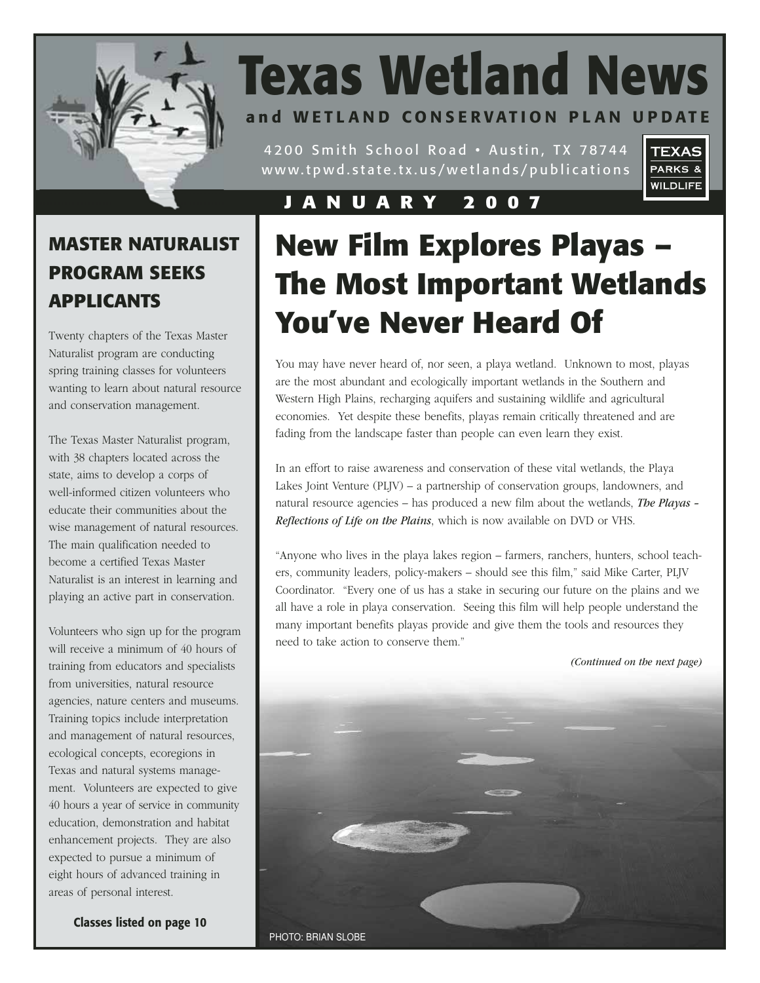

# **Texas Wetland News and WETLAND CONSERVATION PLAN UPDATE**

4200 Smith School Road • Austin, TX 78744 www.tpwd.state.tx.us/wetlands/publications



### **JANUARY 2007**

### **MASTER NATURALIST PROGRAM SEEKS APPLICANTS**

Twenty chapters of the Texas Master Naturalist program are conducting spring training classes for volunteers wanting to learn about natural resource and conservation management.

The Texas Master Naturalist program, with 38 chapters located across the state, aims to develop a corps of well-informed citizen volunteers who educate their communities about the wise management of natural resources. The main qualification needed to become a certified Texas Master Naturalist is an interest in learning and playing an active part in conservation.

Volunteers who sign up for the program will receive a minimum of 40 hours of training from educators and specialists from universities, natural resource agencies, nature centers and museums. Training topics include interpretation and management of natural resources, ecological concepts, ecoregions in Texas and natural systems management. Volunteers are expected to give 40 hours a year of service in community education, demonstration and habitat enhancement projects. They are also expected to pursue a minimum of eight hours of advanced training in areas of personal interest.

**Classes listed on page 10**

# **New Film Explores Playas – The Most Important Wetlands You've Never Heard Of**

You may have never heard of, nor seen, a playa wetland. Unknown to most, playas are the most abundant and ecologically important wetlands in the Southern and Western High Plains, recharging aquifers and sustaining wildlife and agricultural economies. Yet despite these benefits, playas remain critically threatened and are fading from the landscape faster than people can even learn they exist.

In an effort to raise awareness and conservation of these vital wetlands, the Playa Lakes Joint Venture (PLJV) – a partnership of conservation groups, landowners, and natural resource agencies – has produced a new film about the wetlands, *The Playas – Reflections of Life on the Plains*, which is now available on DVD or VHS.

"Anyone who lives in the playa lakes region – farmers, ranchers, hunters, school teachers, community leaders, policy-makers – should see this film," said Mike Carter, PLJV Coordinator. "Every one of us has a stake in securing our future on the plains and we all have a role in playa conservation. Seeing this film will help people understand the many important benefits playas provide and give them the tools and resources they need to take action to conserve them."

*(Continued on the next page)*

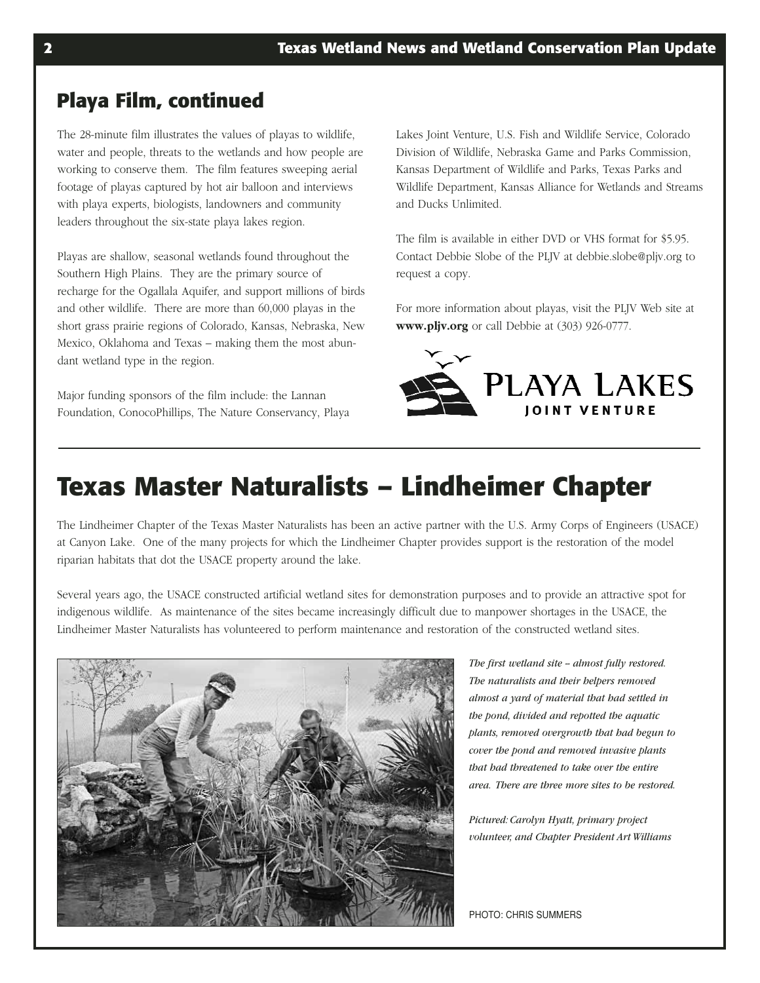### **Playa Film, continued**

The 28-minute film illustrates the values of playas to wildlife, water and people, threats to the wetlands and how people are working to conserve them. The film features sweeping aerial footage of playas captured by hot air balloon and interviews with playa experts, biologists, landowners and community leaders throughout the six-state playa lakes region.

Playas are shallow, seasonal wetlands found throughout the Southern High Plains. They are the primary source of recharge for the Ogallala Aquifer, and support millions of birds and other wildlife. There are more than 60,000 playas in the short grass prairie regions of Colorado, Kansas, Nebraska, New Mexico, Oklahoma and Texas – making them the most abundant wetland type in the region.

Major funding sponsors of the film include: the Lannan Foundation, ConocoPhillips, The Nature Conservancy, Playa Lakes Joint Venture, U.S. Fish and Wildlife Service, Colorado Division of Wildlife, Nebraska Game and Parks Commission, Kansas Department of Wildlife and Parks, Texas Parks and Wildlife Department, Kansas Alliance for Wetlands and Streams and Ducks Unlimited.

The film is available in either DVD or VHS format for \$5.95. Contact Debbie Slobe of the PLJV at debbie.slobe@pljv.org to request a copy.

For more information about playas, visit the PLJV Web site at **www.pljv.org** or call Debbie at (303) 926-0777.



## **Texas Master Naturalists – Lindheimer Chapter**

The Lindheimer Chapter of the Texas Master Naturalists has been an active partner with the U.S. Army Corps of Engineers (USACE) at Canyon Lake. One of the many projects for which the Lindheimer Chapter provides support is the restoration of the model riparian habitats that dot the USACE property around the lake.

Several years ago, the USACE constructed artificial wetland sites for demonstration purposes and to provide an attractive spot for indigenous wildlife. As maintenance of the sites became increasingly difficult due to manpower shortages in the USACE, the Lindheimer Master Naturalists has volunteered to perform maintenance and restoration of the constructed wetland sites.



The first wetland site -- almost fully restored. *The naturalists and their helpers removed almost a yard of material that had settled in the pond, divided and repotted the aquatic plants, removed overgrowth that had begun to cover the pond and removed invasive plants that had threatened to take over the entire area. There are three more sites to be restored.*

*Pictured: Carolyn Hyatt, primary project volunteer, and Chapter President Art Williams*

PHOTO: CHRIS SUMMERS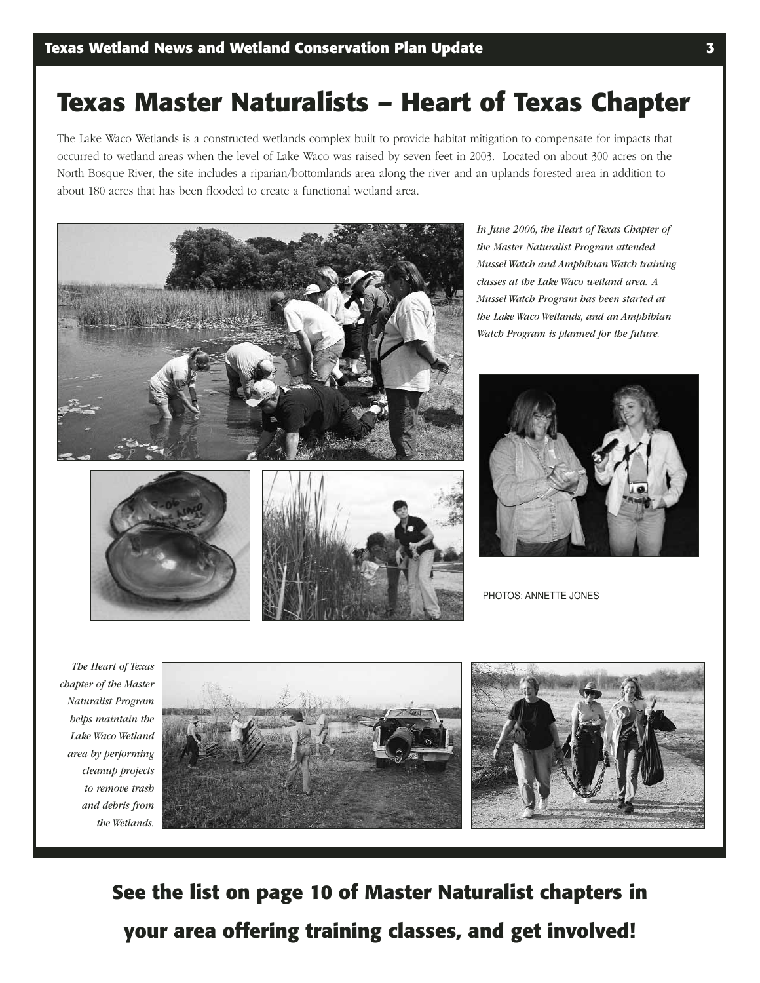## **Texas Master Naturalists – Heart of Texas Chapter**

The Lake Waco Wetlands is a constructed wetlands complex built to provide habitat mitigation to compensate for impacts that occurred to wetland areas when the level of Lake Waco was raised by seven feet in 2003. Located on about 300 acres on the North Bosque River, the site includes a riparian/bottomlands area along the river and an uplands forested area in addition to about 180 acres that has been flooded to create a functional wetland area.



*In June 2006, the Heart of Texas Chapter of the Master Naturalist Program attended Mussel Watch and Amphibian Watch training classes at the Lake Waco wetland area. A Mussel Watch Program has been started at the Lake Waco Wetlands, and an Amphibian Watch Program is planned for the future.*







PHOTOS: ANNETTE JONES

*The Heart of Texas chapter of the Master Naturalist Program helps maintain the Lake Waco Wetland area by performing cleanup projects to remove trash and debris from the Wetlands.*



**See the list on page 10 of Master Naturalist chapters in your area offering training classes, and get involved!**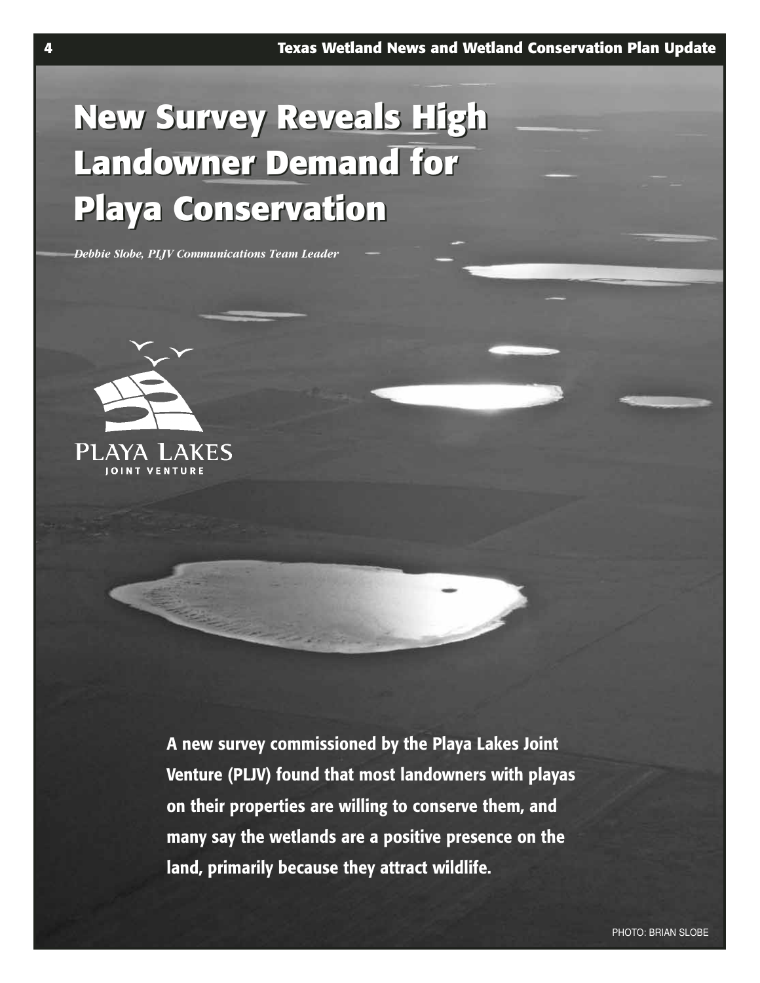# **New Survey Reveals High New Survey Reveals High Landowner Demand for Landowner Demand for Playa Conservation Playa Conservation**

*Debbie Slobe, PLJV Communications Team Leader*



**A new survey commissioned by the Playa Lakes Joint Venture (PLJV) found that most landowners with playas on their properties are willing to conserve them, and many say the wetlands are a positive presence on the land, primarily because they attract wildlife.**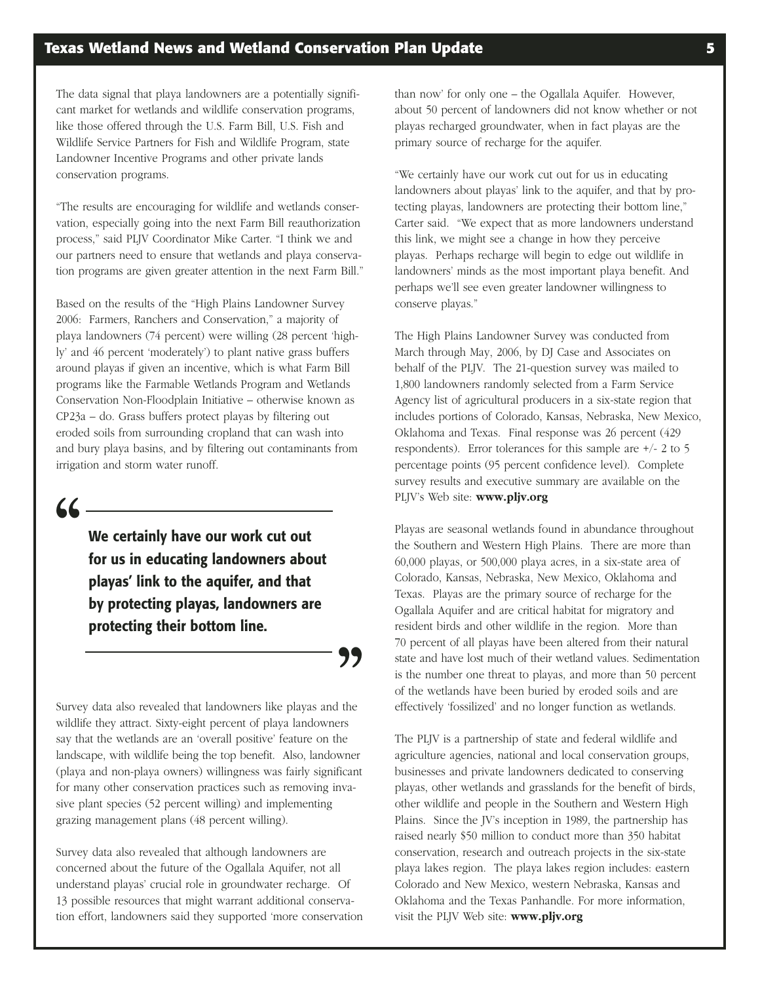The data signal that playa landowners are a potentially significant market for wetlands and wildlife conservation programs, like those offered through the U.S. Farm Bill, U.S. Fish and Wildlife Service Partners for Fish and Wildlife Program, state Landowner Incentive Programs and other private lands conservation programs.

"The results are encouraging for wildlife and wetlands conservation, especially going into the next Farm Bill reauthorization process," said PLJV Coordinator Mike Carter. "I think we and our partners need to ensure that wetlands and playa conservation programs are given greater attention in the next Farm Bill."

Based on the results of the "High Plains Landowner Survey 2006: Farmers, Ranchers and Conservation," a majority of playa landowners (74 percent) were willing (28 percent 'highly' and 46 percent 'moderately') to plant native grass buffers around playas if given an incentive, which is what Farm Bill programs like the Farmable Wetlands Program and Wetlands Conservation Non-Floodplain Initiative – otherwise known as CP23a – do. Grass buffers protect playas by filtering out eroded soils from surrounding cropland that can wash into and bury playa basins, and by filtering out contaminants from irrigation and storm water runoff.

### **"**

**We certainly have our work cut out for us in educating landowners about playas' link to the aquifer, and that by protecting playas, landowners are protecting their bottom line.**

**"**

Survey data also revealed that landowners like playas and the wildlife they attract. Sixty-eight percent of playa landowners say that the wetlands are an 'overall positive' feature on the landscape, with wildlife being the top benefit. Also, landowner (playa and non-playa owners) willingness was fairly significant for many other conservation practices such as removing invasive plant species (52 percent willing) and implementing grazing management plans (48 percent willing).

Survey data also revealed that although landowners are concerned about the future of the Ogallala Aquifer, not all understand playas' crucial role in groundwater recharge. Of 13 possible resources that might warrant additional conservation effort, landowners said they supported 'more conservation than now' for only one – the Ogallala Aquifer. However, about 50 percent of landowners did not know whether or not playas recharged groundwater, when in fact playas are the primary source of recharge for the aquifer.

"We certainly have our work cut out for us in educating landowners about playas' link to the aquifer, and that by protecting playas, landowners are protecting their bottom line," Carter said. "We expect that as more landowners understand this link, we might see a change in how they perceive playas. Perhaps recharge will begin to edge out wildlife in landowners' minds as the most important playa benefit. And perhaps we'll see even greater landowner willingness to conserve playas."

The High Plains Landowner Survey was conducted from March through May, 2006, by DJ Case and Associates on behalf of the PLJV. The 21-question survey was mailed to 1,800 landowners randomly selected from a Farm Service Agency list of agricultural producers in a six-state region that includes portions of Colorado, Kansas, Nebraska, New Mexico, Oklahoma and Texas. Final response was 26 percent (429 respondents). Error tolerances for this sample are +/- 2 to 5 percentage points (95 percent confidence level). Complete survey results and executive summary are available on the PLJV's Web site: **www.pljv.org**

Playas are seasonal wetlands found in abundance throughout the Southern and Western High Plains. There are more than 60,000 playas, or 500,000 playa acres, in a six-state area of Colorado, Kansas, Nebraska, New Mexico, Oklahoma and Texas. Playas are the primary source of recharge for the Ogallala Aquifer and are critical habitat for migratory and resident birds and other wildlife in the region. More than 70 percent of all playas have been altered from their natural state and have lost much of their wetland values. Sedimentation is the number one threat to playas, and more than 50 percent of the wetlands have been buried by eroded soils and are effectively 'fossilized' and no longer function as wetlands.

The PLJV is a partnership of state and federal wildlife and agriculture agencies, national and local conservation groups, businesses and private landowners dedicated to conserving playas, other wetlands and grasslands for the benefit of birds, other wildlife and people in the Southern and Western High Plains. Since the JV's inception in 1989, the partnership has raised nearly \$50 million to conduct more than 350 habitat conservation, research and outreach projects in the six-state playa lakes region. The playa lakes region includes: eastern Colorado and New Mexico, western Nebraska, Kansas and Oklahoma and the Texas Panhandle. For more information, visit the PLJV Web site: **www.pljv.org**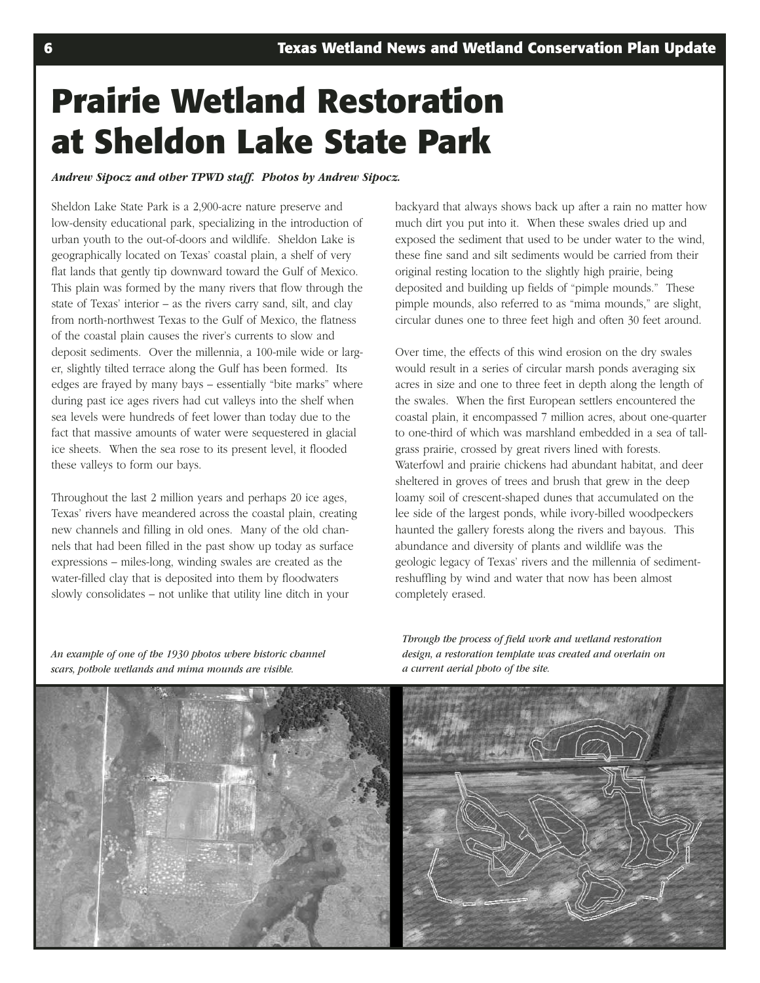# **Prairie Wetland Restoration at Sheldon Lake State Park**

#### *Andrew Sipocz and other TPWD staff. Photos by Andrew Sipocz.*

Sheldon Lake State Park is a 2,900-acre nature preserve and low-density educational park, specializing in the introduction of urban youth to the out-of-doors and wildlife. Sheldon Lake is geographically located on Texas' coastal plain, a shelf of very flat lands that gently tip downward toward the Gulf of Mexico. This plain was formed by the many rivers that flow through the state of Texas' interior – as the rivers carry sand, silt, and clay from north-northwest Texas to the Gulf of Mexico, the flatness of the coastal plain causes the river's currents to slow and deposit sediments. Over the millennia, a 100-mile wide or larger, slightly tilted terrace along the Gulf has been formed. Its edges are frayed by many bays – essentially "bite marks" where during past ice ages rivers had cut valleys into the shelf when sea levels were hundreds of feet lower than today due to the fact that massive amounts of water were sequestered in glacial ice sheets. When the sea rose to its present level, it flooded these valleys to form our bays.

Throughout the last 2 million years and perhaps 20 ice ages, Texas' rivers have meandered across the coastal plain, creating new channels and filling in old ones. Many of the old channels that had been filled in the past show up today as surface expressions – miles-long, winding swales are created as the water-filled clay that is deposited into them by floodwaters slowly consolidates – not unlike that utility line ditch in your

backyard that always shows back up after a rain no matter how much dirt you put into it. When these swales dried up and exposed the sediment that used to be under water to the wind, these fine sand and silt sediments would be carried from their original resting location to the slightly high prairie, being deposited and building up fields of "pimple mounds." These pimple mounds, also referred to as "mima mounds," are slight, circular dunes one to three feet high and often 30 feet around.

Over time, the effects of this wind erosion on the dry swales would result in a series of circular marsh ponds averaging six acres in size and one to three feet in depth along the length of the swales. When the first European settlers encountered the coastal plain, it encompassed 7 million acres, about one-quarter to one-third of which was marshland embedded in a sea of tallgrass prairie, crossed by great rivers lined with forests. Waterfowl and prairie chickens had abundant habitat, and deer sheltered in groves of trees and brush that grew in the deep loamy soil of crescent-shaped dunes that accumulated on the lee side of the largest ponds, while ivory-billed woodpeckers haunted the gallery forests along the rivers and bayous. This abundance and diversity of plants and wildlife was the geologic legacy of Texas' rivers and the millennia of sedimentreshuffling by wind and water that now has been almost completely erased.

*An example of one of the 1930 photos where historic channel scars, pothole wetlands and mima mounds are visible.*

*Through the process of field work and wetland restoration design, a restoration template was created and overlain on a current aerial photo of the site.*

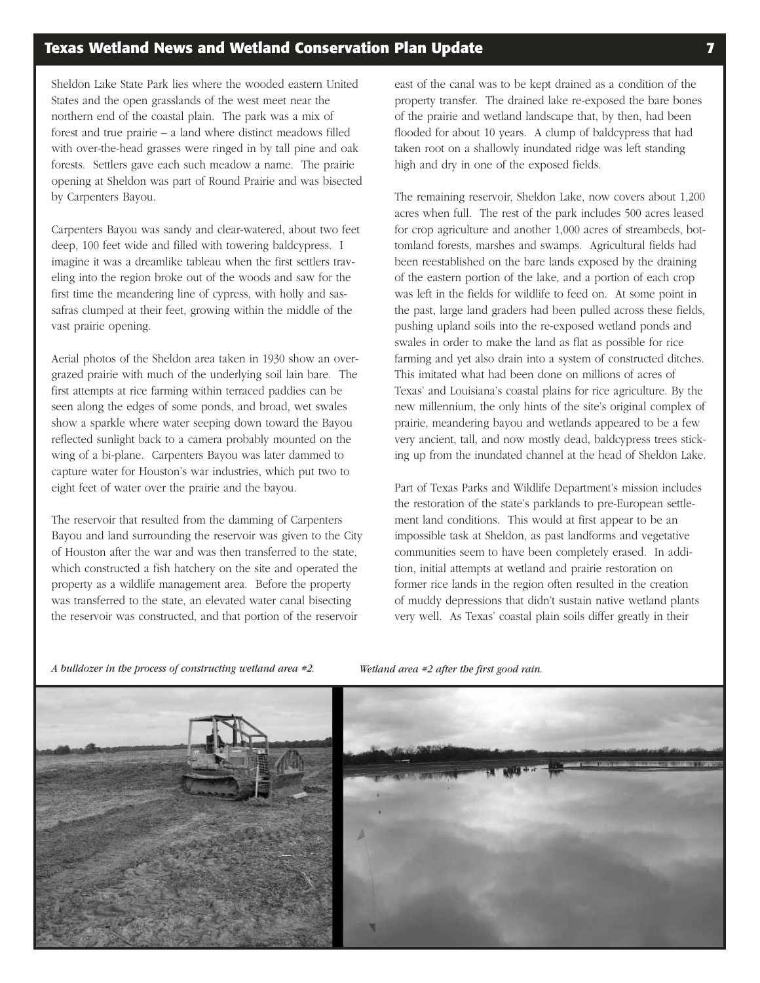Sheldon Lake State Park lies where the wooded eastern United States and the open grasslands of the west meet near the northern end of the coastal plain. The park was a mix of forest and true prairie – a land where distinct meadows filled with over-the-head grasses were ringed in by tall pine and oak forests. Settlers gave each such meadow a name. The prairie opening at Sheldon was part of Round Prairie and was bisected by Carpenters Bayou.

Carpenters Bayou was sandy and clear-watered, about two feet deep, 100 feet wide and filled with towering baldcypress. I imagine it was a dreamlike tableau when the first settlers traveling into the region broke out of the woods and saw for the first time the meandering line of cypress, with holly and sassafras clumped at their feet, growing within the middle of the vast prairie opening.

Aerial photos of the Sheldon area taken in 1930 show an overgrazed prairie with much of the underlying soil lain bare. The first attempts at rice farming within terraced paddies can be seen along the edges of some ponds, and broad, wet swales show a sparkle where water seeping down toward the Bayou reflected sunlight back to a camera probably mounted on the wing of a bi-plane. Carpenters Bayou was later dammed to capture water for Houston's war industries, which put two to eight feet of water over the prairie and the bayou.

The reservoir that resulted from the damming of Carpenters Bayou and land surrounding the reservoir was given to the City of Houston after the war and was then transferred to the state, which constructed a fish hatchery on the site and operated the property as a wildlife management area. Before the property was transferred to the state, an elevated water canal bisecting the reservoir was constructed, and that portion of the reservoir

east of the canal was to be kept drained as a condition of the property transfer. The drained lake re-exposed the bare bones of the prairie and wetland landscape that, by then, had been flooded for about 10 years. A clump of baldcypress that had taken root on a shallowly inundated ridge was left standing high and dry in one of the exposed fields.

The remaining reservoir, Sheldon Lake, now covers about 1,200 acres when full. The rest of the park includes 500 acres leased for crop agriculture and another 1,000 acres of streambeds, bottomland forests, marshes and swamps. Agricultural fields had been reestablished on the bare lands exposed by the draining of the eastern portion of the lake, and a portion of each crop was left in the fields for wildlife to feed on. At some point in the past, large land graders had been pulled across these fields, pushing upland soils into the re-exposed wetland ponds and swales in order to make the land as flat as possible for rice farming and yet also drain into a system of constructed ditches. This imitated what had been done on millions of acres of Texas' and Louisiana's coastal plains for rice agriculture. By the new millennium, the only hints of the site's original complex of prairie, meandering bayou and wetlands appeared to be a few very ancient, tall, and now mostly dead, baldcypress trees sticking up from the inundated channel at the head of Sheldon Lake.

Part of Texas Parks and Wildlife Department's mission includes the restoration of the state's parklands to pre-European settlement land conditions. This would at first appear to be an impossible task at Sheldon, as past landforms and vegetative communities seem to have been completely erased. In addition, initial attempts at wetland and prairie restoration on former rice lands in the region often resulted in the creation of muddy depressions that didn't sustain native wetland plants very well. As Texas' coastal plain soils differ greatly in their

*A bulldozer in the process of constructing wetland area #2. Wetland area #2 after the first good rain.*



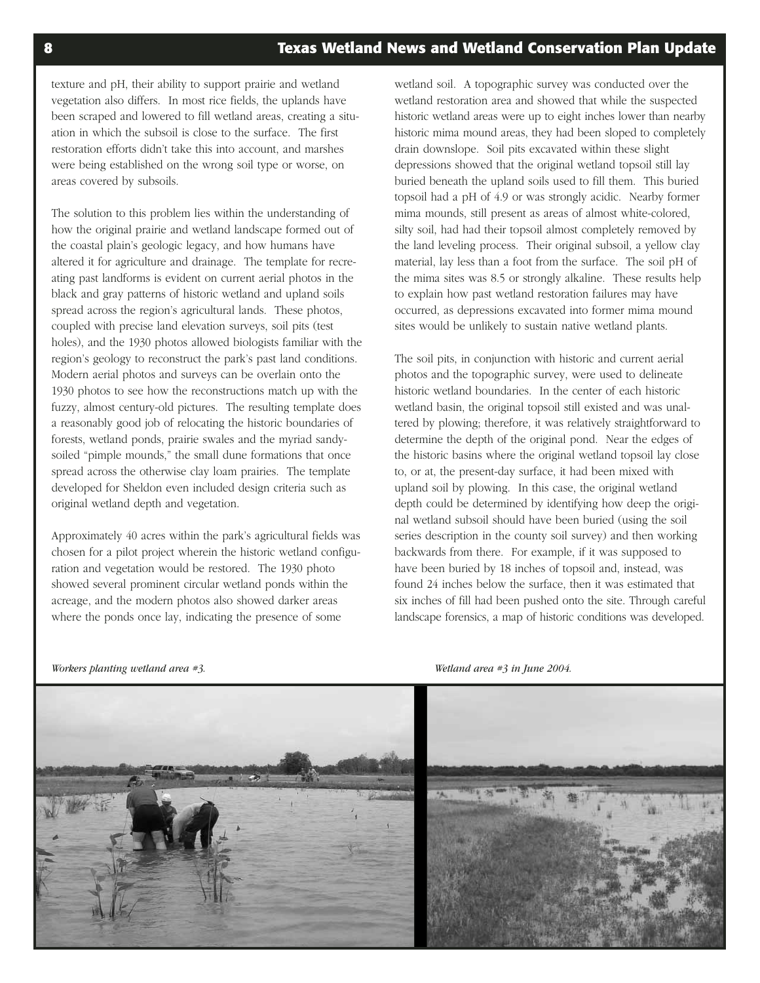texture and pH, their ability to support prairie and wetland vegetation also differs. In most rice fields, the uplands have been scraped and lowered to fill wetland areas, creating a situation in which the subsoil is close to the surface. The first restoration efforts didn't take this into account, and marshes were being established on the wrong soil type or worse, on areas covered by subsoils.

The solution to this problem lies within the understanding of how the original prairie and wetland landscape formed out of the coastal plain's geologic legacy, and how humans have altered it for agriculture and drainage. The template for recreating past landforms is evident on current aerial photos in the black and gray patterns of historic wetland and upland soils spread across the region's agricultural lands. These photos, coupled with precise land elevation surveys, soil pits (test holes), and the 1930 photos allowed biologists familiar with the region's geology to reconstruct the park's past land conditions. Modern aerial photos and surveys can be overlain onto the 1930 photos to see how the reconstructions match up with the fuzzy, almost century-old pictures. The resulting template does a reasonably good job of relocating the historic boundaries of forests, wetland ponds, prairie swales and the myriad sandysoiled "pimple mounds," the small dune formations that once spread across the otherwise clay loam prairies. The template developed for Sheldon even included design criteria such as original wetland depth and vegetation.

Approximately 40 acres within the park's agricultural fields was chosen for a pilot project wherein the historic wetland configuration and vegetation would be restored. The 1930 photo showed several prominent circular wetland ponds within the acreage, and the modern photos also showed darker areas where the ponds once lay, indicating the presence of some

wetland soil. A topographic survey was conducted over the wetland restoration area and showed that while the suspected historic wetland areas were up to eight inches lower than nearby historic mima mound areas, they had been sloped to completely drain downslope. Soil pits excavated within these slight depressions showed that the original wetland topsoil still lay buried beneath the upland soils used to fill them. This buried topsoil had a pH of 4.9 or was strongly acidic. Nearby former mima mounds, still present as areas of almost white-colored, silty soil, had had their topsoil almost completely removed by the land leveling process. Their original subsoil, a yellow clay material, lay less than a foot from the surface. The soil pH of the mima sites was 8.5 or strongly alkaline. These results help to explain how past wetland restoration failures may have occurred, as depressions excavated into former mima mound sites would be unlikely to sustain native wetland plants.

The soil pits, in conjunction with historic and current aerial photos and the topographic survey, were used to delineate historic wetland boundaries. In the center of each historic wetland basin, the original topsoil still existed and was unaltered by plowing; therefore, it was relatively straightforward to determine the depth of the original pond. Near the edges of the historic basins where the original wetland topsoil lay close to, or at, the present-day surface, it had been mixed with upland soil by plowing. In this case, the original wetland depth could be determined by identifying how deep the original wetland subsoil should have been buried (using the soil series description in the county soil survey) and then working backwards from there. For example, if it was supposed to have been buried by 18 inches of topsoil and, instead, was found 24 inches below the surface, then it was estimated that six inches of fill had been pushed onto the site. Through careful landscape forensics, a map of historic conditions was developed.



*Workers planting wetland area #3. Wetland area #3 in June 2004.*

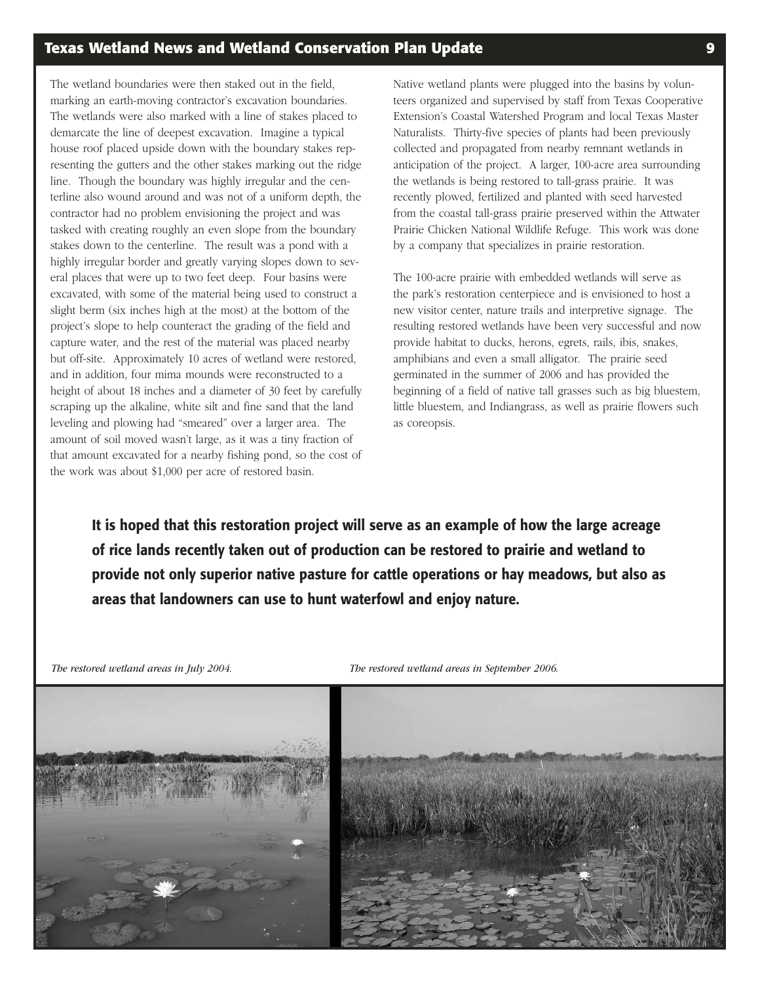### **Texas Wetland News and Wetland Conservation Plan Update 9**

The wetland boundaries were then staked out in the field, marking an earth-moving contractor's excavation boundaries. The wetlands were also marked with a line of stakes placed to demarcate the line of deepest excavation. Imagine a typical house roof placed upside down with the boundary stakes representing the gutters and the other stakes marking out the ridge line. Though the boundary was highly irregular and the centerline also wound around and was not of a uniform depth, the contractor had no problem envisioning the project and was tasked with creating roughly an even slope from the boundary stakes down to the centerline. The result was a pond with a highly irregular border and greatly varying slopes down to several places that were up to two feet deep. Four basins were excavated, with some of the material being used to construct a slight berm (six inches high at the most) at the bottom of the project's slope to help counteract the grading of the field and capture water, and the rest of the material was placed nearby but off-site. Approximately 10 acres of wetland were restored, and in addition, four mima mounds were reconstructed to a height of about 18 inches and a diameter of 30 feet by carefully scraping up the alkaline, white silt and fine sand that the land leveling and plowing had "smeared" over a larger area. The amount of soil moved wasn't large, as it was a tiny fraction of that amount excavated for a nearby fishing pond, so the cost of the work was about \$1,000 per acre of restored basin.

Native wetland plants were plugged into the basins by volunteers organized and supervised by staff from Texas Cooperative Extension's Coastal Watershed Program and local Texas Master Naturalists. Thirty-five species of plants had been previously collected and propagated from nearby remnant wetlands in anticipation of the project. A larger, 100-acre area surrounding the wetlands is being restored to tall-grass prairie. It was recently plowed, fertilized and planted with seed harvested from the coastal tall-grass prairie preserved within the Attwater Prairie Chicken National Wildlife Refuge. This work was done by a company that specializes in prairie restoration.

The 100-acre prairie with embedded wetlands will serve as the park's restoration centerpiece and is envisioned to host a new visitor center, nature trails and interpretive signage. The resulting restored wetlands have been very successful and now provide habitat to ducks, herons, egrets, rails, ibis, snakes, amphibians and even a small alligator. The prairie seed germinated in the summer of 2006 and has provided the beginning of a field of native tall grasses such as big bluestem, little bluestem, and Indiangrass, as well as prairie flowers such as coreopsis.

**It is hoped that this restoration project will serve as an example of how the large acreage of rice lands recently taken out of production can be restored to prairie and wetland to provide not only superior native pasture for cattle operations or hay meadows, but also as areas that landowners can use to hunt waterfowl and enjoy nature.**



*The restored wetland areas in July 2004. The restored wetland areas in September 2006.*

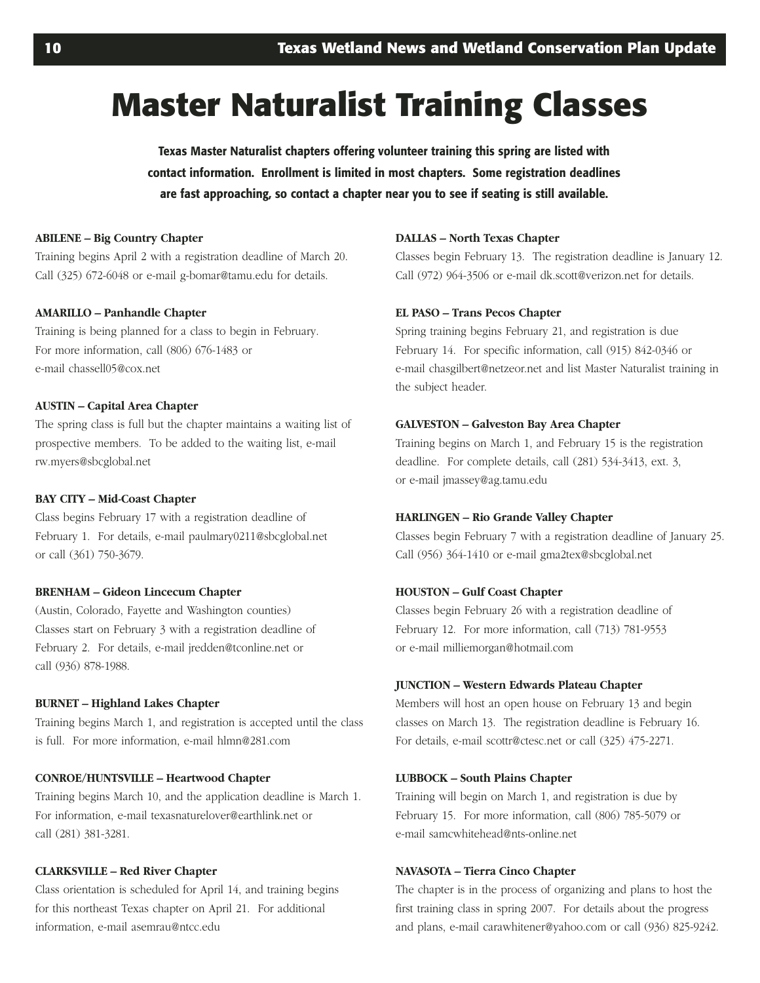# **Master Naturalist Training Classes**

**Texas Master Naturalist chapters offering volunteer training this spring are listed with contact information. Enrollment is limited in most chapters. Some registration deadlines are fast approaching, so contact a chapter near you to see if seating is still available.**

#### **ABILENE – Big Country Chapter**

Training begins April 2 with a registration deadline of March 20. Call (325) 672-6048 or e-mail g-bomar@tamu.edu for details.

#### **AMARILLO – Panhandle Chapter**

Training is being planned for a class to begin in February. For more information, call (806) 676-1483 or e-mail chassell05@cox.net

#### **AUSTIN – Capital Area Chapter**

The spring class is full but the chapter maintains a waiting list of prospective members. To be added to the waiting list, e-mail rw.myers@sbcglobal.net

#### **BAY CITY – Mid-Coast Chapter**

Class begins February 17 with a registration deadline of February 1. For details, e-mail paulmary0211@sbcglobal.net or call (361) 750-3679.

#### **BRENHAM – Gideon Lincecum Chapter**

(Austin, Colorado, Fayette and Washington counties) Classes start on February 3 with a registration deadline of February 2. For details, e-mail jredden@tconline.net or call (936) 878-1988.

#### **BURNET – Highland Lakes Chapter**

Training begins March 1, and registration is accepted until the class is full. For more information, e-mail hlmn@281.com

#### **CONROE/HUNTSVILLE – Heartwood Chapter**

Training begins March 10, and the application deadline is March 1. For information, e-mail texasnaturelover@earthlink.net or call (281) 381-3281.

#### **CLARKSVILLE – Red River Chapter**

Class orientation is scheduled for April 14, and training begins for this northeast Texas chapter on April 21. For additional information, e-mail asemrau@ntcc.edu

#### **DALLAS – North Texas Chapter**

Classes begin February 13. The registration deadline is January 12. Call (972) 964-3506 or e-mail dk.scott@verizon.net for details.

#### **EL PASO – Trans Pecos Chapter**

Spring training begins February 21, and registration is due February 14. For specific information, call (915) 842-0346 or e-mail chasgilbert@netzeor.net and list Master Naturalist training in the subject header.

#### **GALVESTON – Galveston Bay Area Chapter**

Training begins on March 1, and February 15 is the registration deadline. For complete details, call (281) 534-3413, ext. 3, or e-mail jmassey@ag.tamu.edu

#### **HARLINGEN – Rio Grande Valley Chapter**

Classes begin February 7 with a registration deadline of January 25. Call (956) 364-1410 or e-mail gma2tex@sbcglobal.net

#### **HOUSTON – Gulf Coast Chapter**

Classes begin February 26 with a registration deadline of February 12. For more information, call (713) 781-9553 or e-mail milliemorgan@hotmail.com

#### **JUNCTION – Western Edwards Plateau Chapter**

Members will host an open house on February 13 and begin classes on March 13. The registration deadline is February 16. For details, e-mail scottr@ctesc.net or call (325) 475-2271.

#### **LUBBOCK – South Plains Chapter**

Training will begin on March 1, and registration is due by February 15. For more information, call (806) 785-5079 or e-mail samcwhitehead@nts-online.net

#### **NAVASOTA – Tierra Cinco Chapter**

The chapter is in the process of organizing and plans to host the first training class in spring 2007. For details about the progress and plans, e-mail carawhitener@yahoo.com or call (936) 825-9242.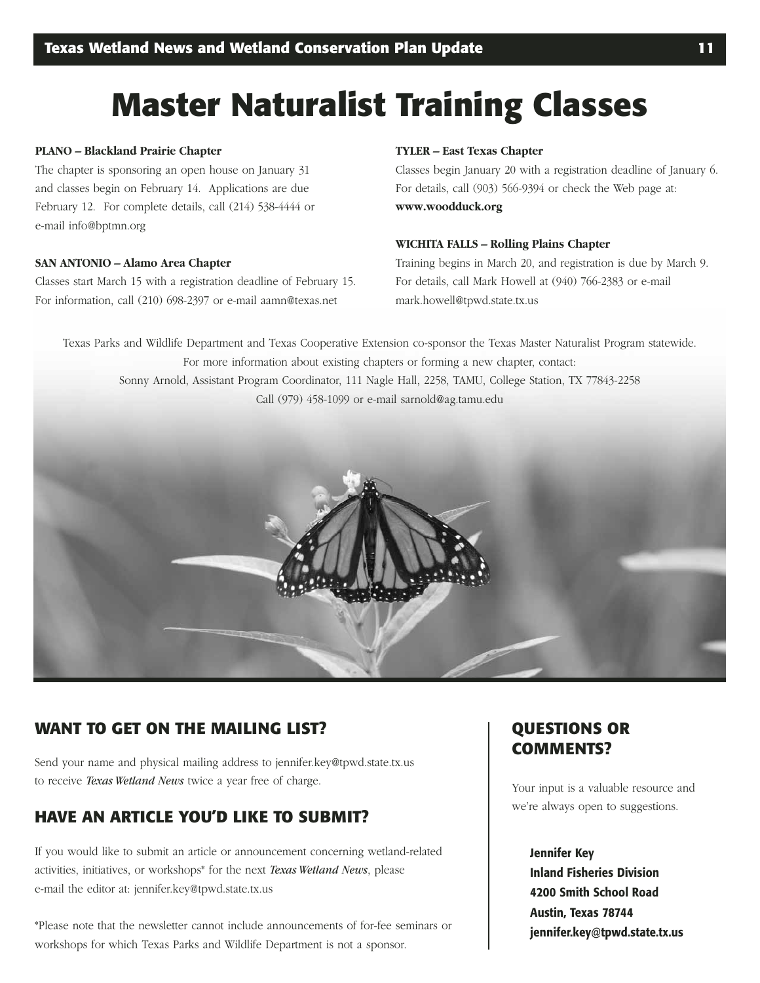# **Master Naturalist Training Classes**

#### **PLANO – Blackland Prairie Chapter**

The chapter is sponsoring an open house on January 31 and classes begin on February 14. Applications are due February 12. For complete details, call (214) 538-4444 or e-mail info@bptmn.org

#### **SAN ANTONIO – Alamo Area Chapter**

Classes start March 15 with a registration deadline of February 15. For information, call (210) 698-2397 or e-mail aamn@texas.net

#### **TYLER – East Texas Chapter**

Classes begin January 20 with a registration deadline of January 6. For details, call (903) 566-9394 or check the Web page at: **www.woodduck.org**

#### **WICHITA FALLS – Rolling Plains Chapter**

Training begins in March 20, and registration is due by March 9. For details, call Mark Howell at (940) 766-2383 or e-mail mark.howell@tpwd.state.tx.us

Texas Parks and Wildlife Department and Texas Cooperative Extension co-sponsor the Texas Master Naturalist Program statewide. For more information about existing chapters or forming a new chapter, contact: Sonny Arnold, Assistant Program Coordinator, 111 Nagle Hall, 2258, TAMU, College Station, TX 77843-2258 Call (979) 458-1099 or e-mail sarnold@ag.tamu.edu



### **WANT TO GET ON THE MAILING LIST?**

Send your name and physical mailing address to jennifer.key@tpwd.state.tx.us to receive *Texas Wetland News* twice a year free of charge.

### **HAVE AN ARTICLE YOU'D LIKE TO SUBMIT?**

If you would like to submit an article or announcement concerning wetland-related activities, initiatives, or workshops\* for the next *Texas Wetland News*, please e-mail the editor at: jennifer.key@tpwd.state.tx.us

\*Please note that the newsletter cannot include announcements of for-fee seminars or workshops for which Texas Parks and Wildlife Department is not a sponsor.

### **QUESTIONS OR COMMENTS?**

Your input is a valuable resource and we're always open to suggestions.

**Jennifer Key Inland Fisheries Division 4200 Smith School Road Austin, Texas 78744 jennifer.key@tpwd.state.tx.us**